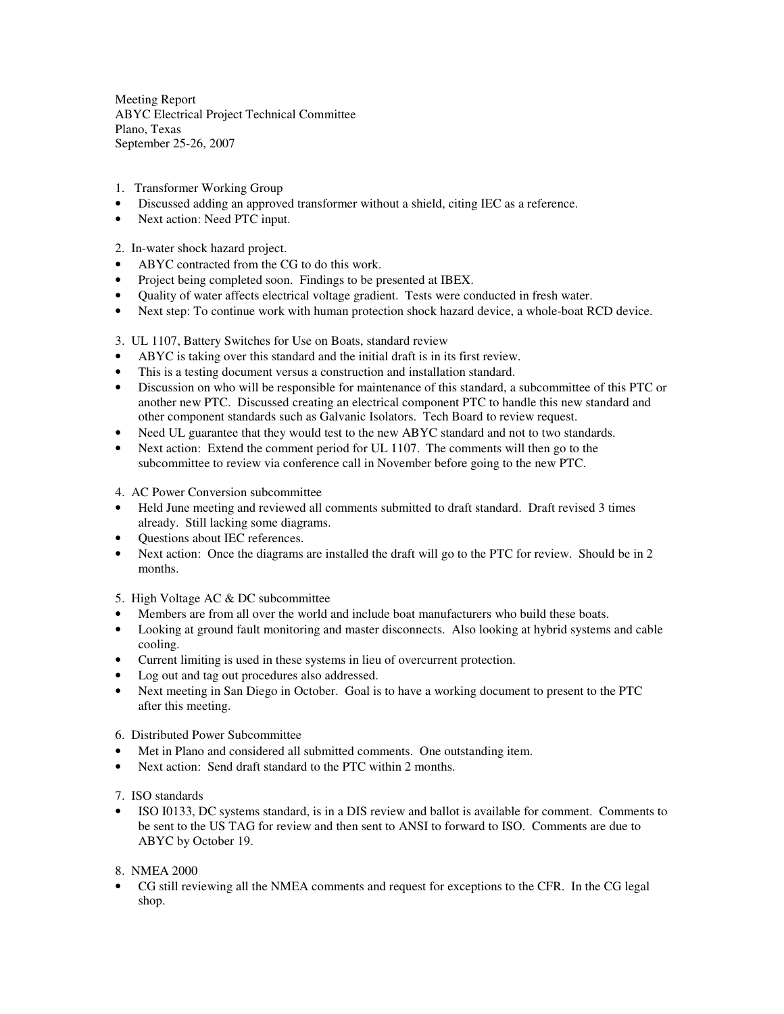Meeting Report ABYC Electrical Project Technical Committee Plano, Texas September 25-26, 2007

- 1. Transformer Working Group
- Discussed adding an approved transformer without a shield, citing IEC as a reference.
- Next action: Need PTC input.
- 2. In-water shock hazard project.
- ABYC contracted from the CG to do this work.
- Project being completed soon. Findings to be presented at IBEX.
- Quality of water affects electrical voltage gradient. Tests were conducted in fresh water.
- Next step: To continue work with human protection shock hazard device, a whole-boat RCD device.

3. UL 1107, Battery Switches for Use on Boats, standard review

- ABYC is taking over this standard and the initial draft is in its first review.
- This is a testing document versus a construction and installation standard.
- Discussion on who will be responsible for maintenance of this standard, a subcommittee of this PTC or another new PTC. Discussed creating an electrical component PTC to handle this new standard and other component standards such as Galvanic Isolators. Tech Board to review request.
- Need UL guarantee that they would test to the new ABYC standard and not to two standards.
- Next action: Extend the comment period for UL 1107. The comments will then go to the subcommittee to review via conference call in November before going to the new PTC.

4. AC Power Conversion subcommittee

- Held June meeting and reviewed all comments submitted to draft standard. Draft revised 3 times already. Still lacking some diagrams.
- Questions about IEC references.
- Next action: Once the diagrams are installed the draft will go to the PTC for review. Should be in 2 months.

5. High Voltage AC & DC subcommittee

- Members are from all over the world and include boat manufacturers who build these boats.
- Looking at ground fault monitoring and master disconnects. Also looking at hybrid systems and cable cooling.
- Current limiting is used in these systems in lieu of overcurrent protection.
- Log out and tag out procedures also addressed.
- Next meeting in San Diego in October. Goal is to have a working document to present to the PTC after this meeting.
- 6. Distributed Power Subcommittee
- Met in Plano and considered all submitted comments. One outstanding item.
- Next action: Send draft standard to the PTC within 2 months.
- 7. ISO standards
- ISO I0133, DC systems standard, is in a DIS review and ballot is available for comment. Comments to be sent to the US TAG for review and then sent to ANSI to forward to ISO. Comments are due to ABYC by October 19.

## 8. NMEA 2000

• CG still reviewing all the NMEA comments and request for exceptions to the CFR. In the CG legal shop.